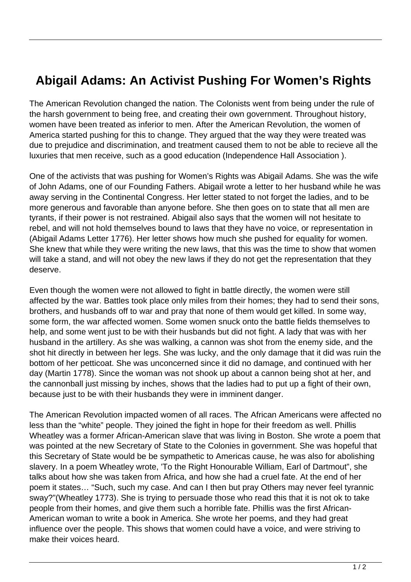## **Abigail Adams: An Activist Pushing For Women's Rights**

The American Revolution changed the nation. The Colonists went from being under the rule of the harsh government to being free, and creating their own government. Throughout history, women have been treated as inferior to men. After the American Revolution, the women of America started pushing for this to change. They argued that the way they were treated was due to prejudice and discrimination, and treatment caused them to not be able to recieve all the luxuries that men receive, such as a good education (Independence Hall Association ).

One of the activists that was pushing for Women's Rights was Abigail Adams. She was the wife of John Adams, one of our Founding Fathers. Abigail wrote a letter to her husband while he was away serving in the Continental Congress. Her letter stated to not forget the ladies, and to be more generous and favorable than anyone before. She then goes on to state that all men are tyrants, if their power is not restrained. Abigail also says that the women will not hesitate to rebel, and will not hold themselves bound to laws that they have no voice, or representation in (Abigail Adams Letter 1776). Her letter shows how much she pushed for equality for women. She knew that while they were writing the new laws, that this was the time to show that women will take a stand, and will not obey the new laws if they do not get the representation that they deserve.

Even though the women were not allowed to fight in battle directly, the women were still affected by the war. Battles took place only miles from their homes; they had to send their sons, brothers, and husbands off to war and pray that none of them would get killed. In some way, some form, the war affected women. Some women snuck onto the battle fields themselves to help, and some went just to be with their husbands but did not fight. A lady that was with her husband in the artillery. As she was walking, a cannon was shot from the enemy side, and the shot hit directly in between her legs. She was lucky, and the only damage that it did was ruin the bottom of her petticoat. She was unconcerned since it did no damage, and continued with her day (Martin 1778). Since the woman was not shook up about a cannon being shot at her, and the cannonball just missing by inches, shows that the ladies had to put up a fight of their own, because just to be with their husbands they were in imminent danger.

The American Revolution impacted women of all races. The African Americans were affected no less than the "white" people. They joined the fight in hope for their freedom as well. Phillis Wheatley was a former African-American slave that was living in Boston. She wrote a poem that was pointed at the new Secretary of State to the Colonies in government. She was hopeful that this Secretary of State would be be sympathetic to Americas cause, he was also for abolishing slavery. In a poem Wheatley wrote, 'To the Right Honourable William, Earl of Dartmout", she talks about how she was taken from Africa, and how she had a cruel fate. At the end of her poem it states… "Such, such my case. And can I then but pray Others may never feel tyrannic sway?"(Wheatley 1773). She is trying to persuade those who read this that it is not ok to take people from their homes, and give them such a horrible fate. Phillis was the first African-American woman to write a book in America. She wrote her poems, and they had great influence over the people. This shows that women could have a voice, and were striving to make their voices heard.